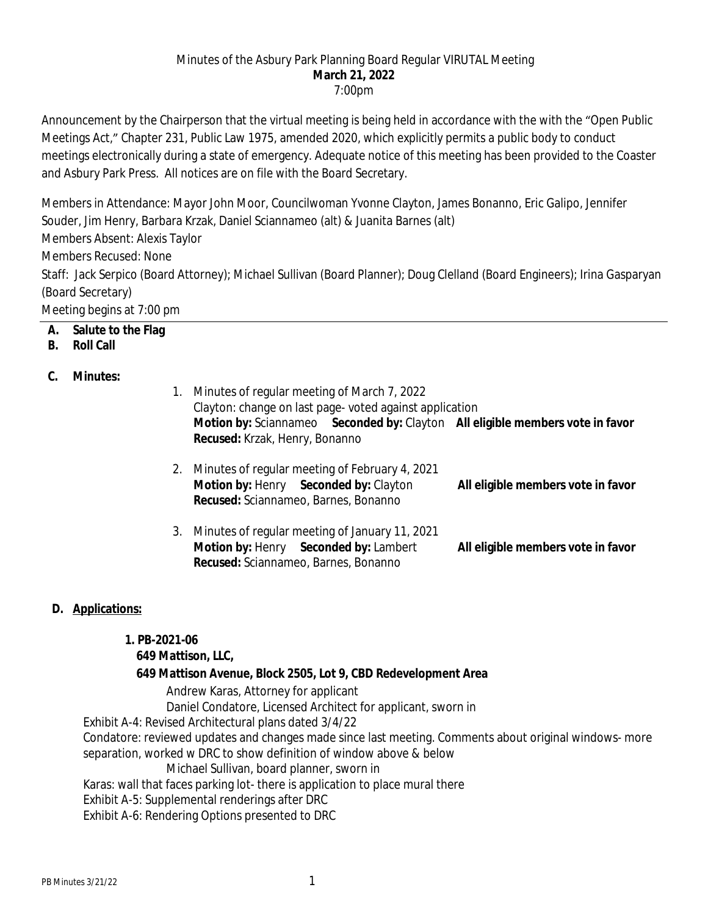#### Minutes of the Asbury Park Planning Board Regular VIRUTAL Meeting **March 21, 2022** 7:00pm

Announcement by the Chairperson that the virtual meeting is being held in accordance with the with the "Open Public Meetings Act," Chapter 231, Public Law 1975, amended 2020, which explicitly permits a public body to conduct meetings electronically during a state of emergency. Adequate notice of this meeting has been provided to the Coaster and Asbury Park Press. All notices are on file with the Board Secretary.

Members in Attendance: Mayor John Moor, Councilwoman Yvonne Clayton, James Bonanno, Eric Galipo, Jennifer Souder, Jim Henry, Barbara Krzak, Daniel Sciannameo (alt) & Juanita Barnes (alt)

Members Absent: Alexis Taylor

Members Recused: None

Staff: Jack Serpico (Board Attorney); Michael Sullivan (Board Planner); Doug Clelland (Board Engineers); Irina Gasparyan (Board Secretary)

Meeting begins at 7:00 pm

**A. Salute to the Flag**

### **B. Roll Call**

### **C. Minutes:**

- 1. Minutes of regular meeting of March 7, 2022 Clayton: change on last page- voted against application **Motion by:** Sciannameo **Seconded by:** Clayton **All eligible members vote in favor Recused:** Krzak, Henry, Bonanno
- 2. Minutes of regular meeting of February 4, 2021 **Motion by:** Henry **Seconded by:** Clayton **All eligible members vote in favor Recused:** Sciannameo, Barnes, Bonanno
- 3. Minutes of regular meeting of January 11, 2021 **Motion by:** Henry **Seconded by:** Lambert **All eligible members vote in favor Recused:** Sciannameo, Barnes, Bonanno

## **D. Applications:**

#### **1. PB-2021-06**

## **649 Mattison, LLC,**

## **649 Mattison Avenue, Block 2505, Lot 9, CBD Redevelopment Area**

Andrew Karas, Attorney for applicant

Daniel Condatore, Licensed Architect for applicant, sworn in

Exhibit A-4: Revised Architectural plans dated 3/4/22

Condatore: reviewed updates and changes made since last meeting. Comments about original windows- more separation, worked w DRC to show definition of window above & below

#### Michael Sullivan, board planner, sworn in

Karas: wall that faces parking lot- there is application to place mural there

Exhibit A-5: Supplemental renderings after DRC

Exhibit A-6: Rendering Options presented to DRC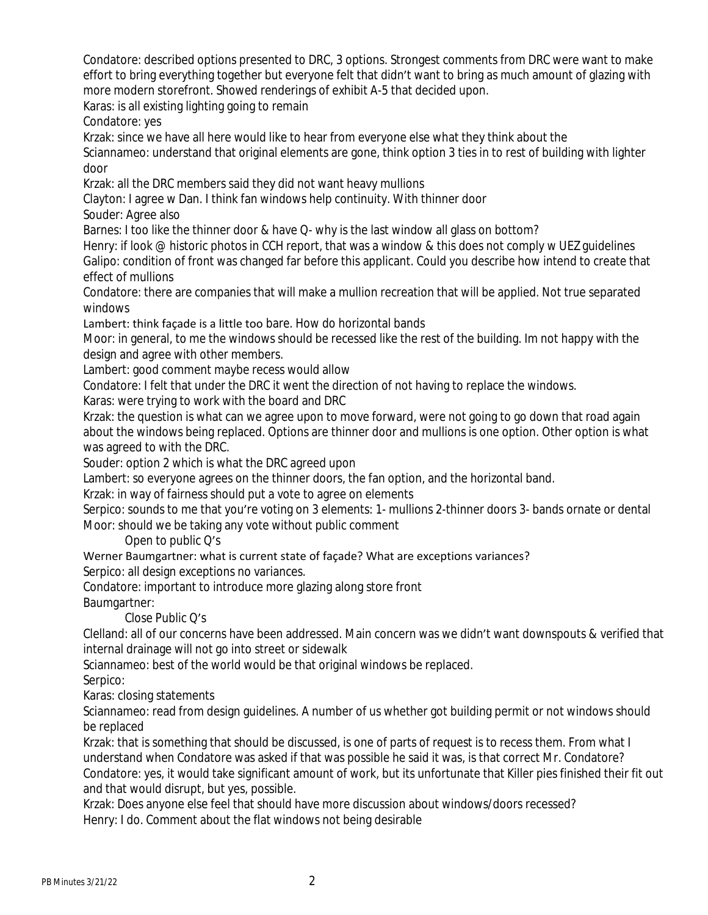Condatore: described options presented to DRC, 3 options. Strongest comments from DRC were want to make effort to bring everything together but everyone felt that didn't want to bring as much amount of glazing with more modern storefront. Showed renderings of exhibit A-5 that decided upon.

Karas: is all existing lighting going to remain

Condatore: yes

Krzak: since we have all here would like to hear from everyone else what they think about the

Sciannameo: understand that original elements are gone, think option 3 ties in to rest of building with lighter door

Krzak: all the DRC members said they did not want heavy mullions

Clayton: I agree w Dan. I think fan windows help continuity. With thinner door

Souder: Agree also

Barnes: I too like the thinner door & have Q- why is the last window all glass on bottom?

Henry: if look @ historic photos in CCH report, that was a window & this does not comply w UEZ guidelines Galipo: condition of front was changed far before this applicant. Could you describe how intend to create that

effect of mullions

Condatore: there are companies that will make a mullion recreation that will be applied. Not true separated windows

Lambert: think façade is a little too bare. How do horizontal bands

Moor: in general, to me the windows should be recessed like the rest of the building. Im not happy with the design and agree with other members.

Lambert: good comment maybe recess would allow

Condatore: I felt that under the DRC it went the direction of not having to replace the windows.

Karas: were trying to work with the board and DRC

Krzak: the question is what can we agree upon to move forward, were not going to go down that road again about the windows being replaced. Options are thinner door and mullions is one option. Other option is what was agreed to with the DRC.

Souder: option 2 which is what the DRC agreed upon

Lambert: so everyone agrees on the thinner doors, the fan option, and the horizontal band.

Krzak: in way of fairness should put a vote to agree on elements

Serpico: sounds to me that you're voting on 3 elements: 1- mullions 2-thinner doors 3- bands ornate or dental Moor: should we be taking any vote without public comment

Open to public Q's

Werner Baumgartner: what is current state of façade? What are exceptions variances?

Serpico: all design exceptions no variances.

Condatore: important to introduce more glazing along store front

Baumgartner:

Close Public Q's

Clelland: all of our concerns have been addressed. Main concern was we didn't want downspouts & verified that internal drainage will not go into street or sidewalk

Sciannameo: best of the world would be that original windows be replaced.

Serpico:

Karas: closing statements

Sciannameo: read from design guidelines. A number of us whether got building permit or not windows should be replaced

Krzak: that is something that should be discussed, is one of parts of request is to recess them. From what I understand when Condatore was asked if that was possible he said it was, is that correct Mr. Condatore? Condatore: yes, it would take significant amount of work, but its unfortunate that Killer pies finished their fit out and that would disrupt, but yes, possible.

Krzak: Does anyone else feel that should have more discussion about windows/doors recessed? Henry: I do. Comment about the flat windows not being desirable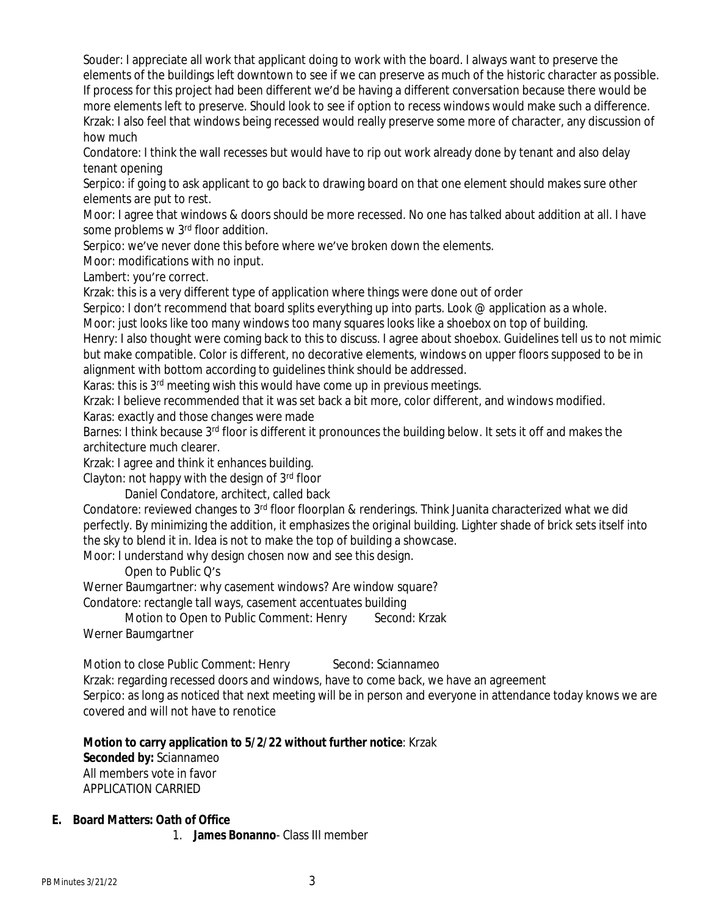Souder: I appreciate all work that applicant doing to work with the board. I always want to preserve the elements of the buildings left downtown to see if we can preserve as much of the historic character as possible. If process for this project had been different we'd be having a different conversation because there would be more elements left to preserve. Should look to see if option to recess windows would make such a difference. Krzak: I also feel that windows being recessed would really preserve some more of character, any discussion of how much

Condatore: I think the wall recesses but would have to rip out work already done by tenant and also delay tenant opening

Serpico: if going to ask applicant to go back to drawing board on that one element should makes sure other elements are put to rest.

Moor: I agree that windows & doors should be more recessed. No one has talked about addition at all. I have some problems w 3<sup>rd</sup> floor addition.

Serpico: we've never done this before where we've broken down the elements.

Moor: modifications with no input.

Lambert: you're correct.

Krzak: this is a very different type of application where things were done out of order

Serpico: I don't recommend that board splits everything up into parts. Look @ application as a whole.

Moor: just looks like too many windows too many squares looks like a shoebox on top of building.

Henry: I also thought were coming back to this to discuss. I agree about shoebox. Guidelines tell us to not mimic but make compatible. Color is different, no decorative elements, windows on upper floors supposed to be in alignment with bottom according to guidelines think should be addressed.

Karas: this is 3rd meeting wish this would have come up in previous meetings.

Krzak: I believe recommended that it was set back a bit more, color different, and windows modified. Karas: exactly and those changes were made

Barnes: I think because 3<sup>rd</sup> floor is different it pronounces the building below. It sets it off and makes the architecture much clearer.

Krzak: I agree and think it enhances building.

Clayton: not happy with the design of  $3<sup>rd</sup>$  floor

Daniel Condatore, architect, called back

Condatore: reviewed changes to 3rd floor floorplan & renderings. Think Juanita characterized what we did perfectly. By minimizing the addition, it emphasizes the original building. Lighter shade of brick sets itself into the sky to blend it in. Idea is not to make the top of building a showcase.

Moor: I understand why design chosen now and see this design.

Open to Public Q's

Werner Baumgartner: why casement windows? Are window square?

Condatore: rectangle tall ways, casement accentuates building

Motion to Open to Public Comment: Henry Second: Krzak Werner Baumgartner

Motion to close Public Comment: Henry Second: Sciannameo Krzak: regarding recessed doors and windows, have to come back, we have an agreement Serpico: as long as noticed that next meeting will be in person and everyone in attendance today knows we are covered and will not have to renotice

#### **Motion to carry application to 5/2/22 without further notice**: Krzak

**Seconded by:** Sciannameo All members vote in favor APPLICATION CARRIED

#### **E. Board Matters: Oath of Office**

1. **James Bonanno**- Class III member